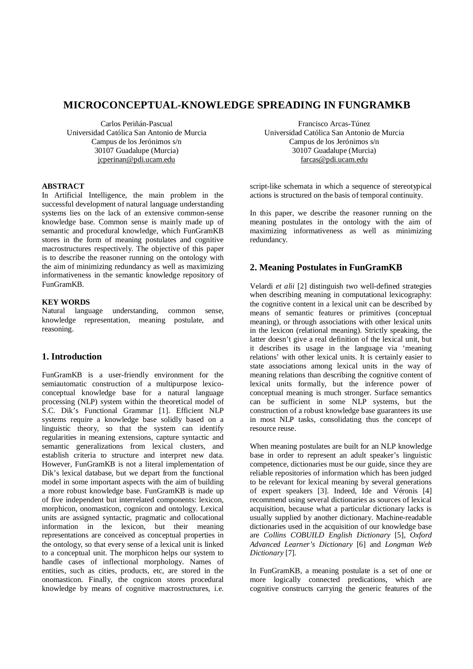# **MICROCONCEPTUAL-KNOWLEDGE SPREADING IN FUNGRAMKB**

Carlos Periñán-Pascual Universidad Católica San Antonio de Murcia Campus de los Jerónimos s/n 30107 Guadalupe (Murcia) [jcperinan@pdi.ucam.edu](mailto:jcperinan@pdi.ucam.edu)

## **ABSTRACT**

In Artificial Intelligence, the main problem in the successful development of natural language understanding systems lies on the lack of an extensive common-sense knowledge base. Common sense is mainly made up of semantic and procedural knowledge, which FunGramKB stores in the form of meaning postulates and cognitive macrostructures respectively. The objective of this paper is to describe the reasoner running on the ontology with the aim of minimizing redundancy as well as maximizing informativeness in the semantic knowledge repository of FunGramKB.

### **KEY WORDS**

Natural language understanding, common sense, knowledge representation, meaning postulate, and reasoning.

# **1. Introduction**

FunGramKB is a user-friendly environment for the semiautomatic construction of a multipurpose lexicoconceptual knowledge base for a natural language processing (NLP) system within the theoretical model of S.C. Dik's Functional Grammar [1]. Efficient NLP systems require a knowledge base solidly based on a linguistic theory, so that the system can identify regularities in meaning extensions, capture syntactic and semantic generalizations from lexical clusters, and establish criteria to structure and interpret new data. However, FunGramKB is not a literal implementation of Dik's lexical database, but we depart from the functional model in some important aspects with the aim of building a more robust knowledge base. FunGramKB is made up of five independent but interrelated components: lexicon, morphicon, onomasticon, cognicon and ontology. Lexical units are assigned syntactic, pragmatic and collocational information in the lexicon, but their meaning representations are conceived as conceptual properties in the ontology, so that every sense of a lexical unit is linked to a conceptual unit. The morphicon helps our system to handle cases of inflectional morphology. Names of entities, such as cities, products, etc, are stored in the onomasticon. Finally, the cognicon stores procedural knowledge by means of cognitive macrostructures, i.e.

Francisco Arcas-Túnez Universidad Católica San Antonio de Murcia Campus de los Jerónimos s/n 30107 Guadalupe (Murcia) [farcas@pdi.ucam.edu](mailto:farcas@pdi.ucam.edu)

script-like schemata in which a sequence of stereotypical actions is structured on the basis of temporal continuity.

In this paper, we describe the reasoner running on the meaning postulates in the ontology with the aim of maximizing informativeness as well as minimizing redundancy.

# **2. Meaning Postulates in FunGramKB**

Velardi *et alii* [2] distinguish two well-defined strategies when describing meaning in computational lexicography: the cognitive content in a lexical unit can be described by means of semantic features or primitives (conceptual meaning), or through associations with other lexical units in the lexicon (relational meaning). Strictly speaking, the latter doesn't give a real definition of the lexical unit, but it describes its usage in the language via 'meaning relations' with other lexical units. It is certainly easier to state associations among lexical units in the way of meaning relations than describing the cognitive content of lexical units formally, but the inference power of conceptual meaning is much stronger. Surface semantics can be sufficient in some NLP systems, but the construction of a robust knowledge base guarantees its use in most NLP tasks, consolidating thus the concept of resource reuse.

When meaning postulates are built for an NLP knowledge base in order to represent an adult speaker's linguistic competence, dictionaries must be our guide, since they are reliable repositories of information which has been judged to be relevant for lexical meaning by several generations of expert speakers [3]. Indeed, Ide and Véronis [4] recommend using several dictionaries as sources of lexical acquisition, because what a particular dictionary lacks is usually supplied by another dictionary. Machine-readable dictionaries used in the acquisition of our knowledge base are *Collins COBUILD English Dictionary* [5], *Oxford Advanced Learner's Dictionary* [6] and *Longman Web Dictionary* [7].

In FunGramKB, a meaning postulate is a set of one or more logically connected predications, which are cognitive constructs carrying the generic features of the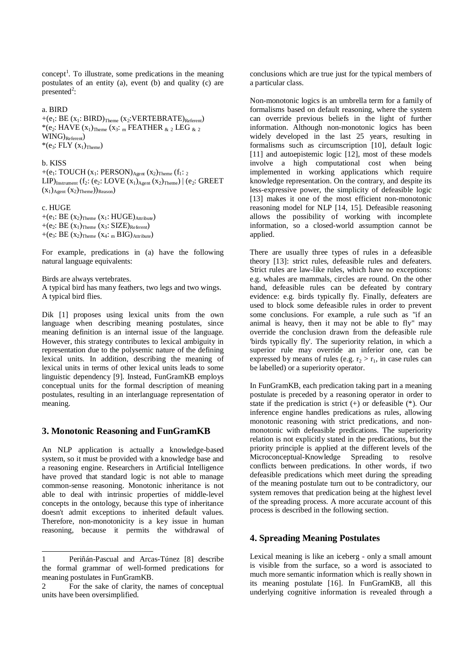$\text{concept}^1$ . To illustrate, some predications in the meaning postulates of an entity (a), event (b) and quality (c) are presented<sup>2</sup>:

#### a. BIRD

 $+(e_1: BE (x_1: BIRD)_{Theme} (x_2: VERTEBRATE)_{Referent})$  $*(e_2: HAVE(x_1)_{Theme}(x_3: m FEARTHER_{\&2} LEG_{\&2})$ WING)<sub>Referent</sub>)  $*(e_3: FLY (x_1)<sub>Thene</sub>)$ 

#### b. KISS

+(e<sub>1</sub>: TOUCH (x<sub>1</sub>: PERSON)<sub>Agent</sub> (x<sub>2</sub>)<sub>Theme</sub> (f<sub>1</sub>: <sub>2</sub>) LIP)<sub>Instrument</sub> (f<sub>2</sub>: (e<sub>2</sub>: LOVE  $(x_1)_{Agent} (x_2)_{Theme}$ ) | (e<sub>2</sub>: GREET  $(x_1)$ <sub>Agent</sub>  $(x_2)$ <sub>Theme</sub>))<sub>Reason</sub>)

### c. HUGE

-

 $+(e_1: BE (x_2)_{Theme} (x_1: HUGE)_{Attible})$ +(e<sub>2</sub>: BE  $(x_1)$ <sub>Theme</sub>  $(x_3: SIZE)_{Referent}$ ) +(e<sub>3</sub>: BE  $(x_2)$ <sub>Theme</sub>  $(x_4:_{m} BIG)$ <sub>Attribute</sub>)

For example, predications in (a) have the following natural language equivalents:

Birds are always vertebrates.

A typical bird has many feathers, two legs and two wings. A typical bird flies.

Dik [1] proposes using lexical units from the own language when describing meaning postulates, since meaning definition is an internal issue of the language. However, this strategy contributes to lexical ambiguity in representation due to the polysemic nature of the defining lexical units. In addition, describing the meaning of lexical units in terms of other lexical units leads to some linguistic dependency [9]. Instead, FunGramKB employs conceptual units for the formal description of meaning postulates, resulting in an interlanguage representation of meaning.

### **3. Monotonic Reasoning and FunGramKB**

An NLP application is actually a knowledge-based system, so it must be provided with a knowledge base and a reasoning engine. Researchers in Artificial Intelligence have proved that standard logic is not able to manage common-sense reasoning. Monotonic inheritance is not able to deal with intrinsic properties of middle-level concepts in the ontology, because this type of inheritance doesn't admit exceptions to inherited default values. Therefore, non-monotonicity is a key issue in human reasoning, because it permits the withdrawal of conclusions which are true just for the typical members of a particular class.

Non-monotonic logics is an umbrella term for a family of formalisms based on default reasoning, where the system can override previous beliefs in the light of further information. Although non-monotonic logics has been widely developed in the last 25 years, resulting in formalisms such as circumscription [10], default logic [11] and autoepistemic logic [12], most of these models involve a high computational cost when being implemented in working applications which require knowledge representation. On the contrary, and despite its less-expressive power, the simplicity of defeasible logic [13] makes it one of the most efficient non-monotonic reasoning model for NLP [14, 15]. Defeasible reasoning allows the possibility of working with incomplete information, so a closed-world assumption cannot be applied.

There are usually three types of rules in a defeasible theory [13]: strict rules, defeasible rules and defeaters. Strict rules are law-like rules, which have no exceptions: e.g. whales are mammals, circles are round. On the other hand, defeasible rules can be defeated by contrary evidence: e.g. birds typically fly. Finally, defeaters are used to block some defeasible rules in order to prevent some conclusions. For example, a rule such as "if an animal is heavy, then it may not be able to fly" may override the conclusion drawn from the defeasible rule 'birds typically fly'. The superiority relation, in which a superior rule may override an inferior one, can be expressed by means of rules (e.g.  $r_2 > r_1$ , in case rules can be labelled) or a superiority operator.

In FunGramKB, each predication taking part in a meaning postulate is preceded by a reasoning operator in order to state if the predication is strict  $(+)$  or defeasible  $(*)$ . Our inference engine handles predications as rules, allowing monotonic reasoning with strict predications, and nonmonotonic with defeasible predications. The superiority relation is not explicitly stated in the predications, but the priority principle is applied at the different levels of the Microconceptual-Knowledge Spreading to resolve conflicts between predications. In other words, if two defeasible predications which meet during the spreading of the meaning postulate turn out to be contradictory, our system removes that predication being at the highest level of the spreading process. A more accurate account of this process is described in the following section.

### **4. Spreading Meaning Postulates**

Lexical meaning is like an iceberg - only a small amount is visible from the surface, so a word is associated to much more semantic information which is really shown in its meaning postulate [16]. In FunGramKB, all this underlying cognitive information is revealed through a

<sup>1</sup> Periñán-Pascual and Arcas-Túnez [8] describe the formal grammar of well-formed predications for meaning postulates in FunGramKB.

<sup>2</sup> For the sake of clarity, the names of conceptual units have been oversimplified.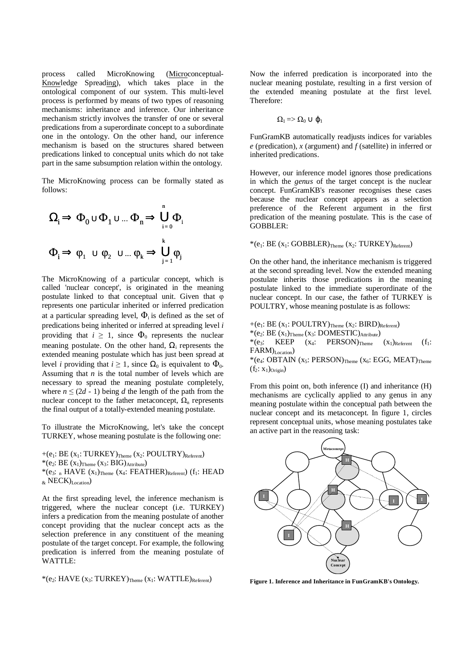process called MicroKnowing (Microconceptual-Knowledge Spreading), which takes place in the ontological component of our system. This multi-level process is performed by means of two types of reasoning mechanisms: inheritance and inference. Our inheritance mechanism strictly involves the transfer of one or several predications from a superordinate concept to a subordinate one in the ontology. On the other hand, our inference mechanism is based on the structures shared between predications linked to conceptual units which do not take part in the same subsumption relation within the ontology.

The MicroKnowing process can be formally stated as follows:

$$
\Omega_{i} \Rightarrow \Phi_{0} \cup \Phi_{1} \cup ... \Phi_{n} \Rightarrow \bigcup_{i=0}^{n} \Phi_{i}
$$

$$
\Phi_{i} \Rightarrow \phi_{1} \cup \phi_{2} \cup ... \phi_{k} \Rightarrow \bigcup_{j=1}^{k} \phi_{j}
$$

The MicroKnowing of a particular concept, which is called 'nuclear concept', is originated in the meaning postulate linked to that conceptual unit. Given that φ represents one particular inherited or inferred predication at a particular spreading level,  $\Phi_i$  is defined as the set of predications being inherited or inferred at spreading level *i* providing that  $i \geq 1$ , since  $\Phi_0$  represents the nuclear meaning postulate. On the other hand,  $\Omega_i$  represents the extended meaning postulate which has just been spread at level *i* providing that  $i \ge 1$ , since  $\Omega_0$  is equivalent to  $\Phi_0$ . Assuming that  $n$  is the total number of levels which are necessary to spread the meaning postulate completely, where  $n \leq (2d - 1)$  being *d* the length of the path from the nuclear concept to the father metaconcept,  $\Omega_n$  represents the final output of a totally-extended meaning postulate.

To illustrate the MicroKnowing, let's take the concept TURKEY, whose meaning postulate is the following one:

 $+(e_1: BE (x_1: TURKEY)_{Thene} (x_2: POUTTRY)_{Referen})$ \*(e<sub>2</sub>:  $BE(x_1)$ <sub>Theme</sub>  $(x_3: BIG)$ <sub>Attribute</sub>)  $*(e_3: n$  HAVE  $(x_1)$ <sub>Theme</sub>  $(x_4: FEATHER)_{Referent}$   $(f_1: HEAD)$  $_{\&}$  NECK)<sub>Location</sub>)

At the first spreading level, the inference mechanism is triggered, where the nuclear concept (i.e. TURKEY) infers a predication from the meaning postulate of another concept providing that the nuclear concept acts as the selection preference in any constituent of the meaning postulate of the target concept. For example, the following predication is inferred from the meaning postulate of WATTLE:

 $*(e_2: HAVE (x_3: TURKEY)_{Theme} (x_1: WATTLE)_{Refèrent})$ 

Now the inferred predication is incorporated into the nuclear meaning postulate, resulting in a first version of the extended meaning postulate at the first level. Therefore:

$$
\Omega_l \! = \! \! > \Omega_0 \cup \phi_1
$$

FunGramKB automatically readjusts indices for variables *e* (predication), *x* (argument) and *f* (satellite) in inferred or inherited predications.

However, our inference model ignores those predications in which the *genus* of the target concept is the nuclear concept. FunGramKB's reasoner recognises these cases because the nuclear concept appears as a selection preference of the Referent argument in the first predication of the meaning postulate. This is the case of GOBBLER:

 $*(e_1: BE (x_1: GOBBLER)_{Theme} (x_2: TURKEY)_{Referent})$ 

On the other hand, the inheritance mechanism is triggered at the second spreading level. Now the extended meaning postulate inherits those predications in the meaning postulate linked to the immediate superordinate of the nuclear concept. In our case, the father of TURKEY is POULTRY, whose meaning postulate is as follows:

+( $e_1$ : BE ( $x_1$ : POULTRY)<sub>Theme</sub> ( $x_2$ : BIRD)<sub>Referent</sub>) \*(e<sub>2</sub>: BE  $(x_1)$ <sub>Theme</sub>  $(x_3: DOMESTIC)$ <sub>Attribute</sub>)<br>\*(e<sub>3</sub>: KEEP  $(x_4: PERSON)$ <sub>Theme</sub>  $(x_4: PERSON)$ Theme  $(x_1)$ Referent  $(f_1:$ FARM)Location)  $*(e_4: \text{OBTAIN } (x_5: \text{PERSON})_{\text{Theme}} (x_6: \text{EGG}, \text{MEAT})_{\text{Theme}})$  $(f_2: x_1)_{\text{Original}}$ 

From this point on, both inference (I) and inheritance (H) mechanisms are cyclically applied to any genus in any meaning postulate within the conceptual path between the nuclear concept and its metaconcept. In figure 1, circles represent conceptual units, whose meaning postulates take an active part in the reasoning task:



**Figure 1. Inference and Inheritance in FunGramKB's Ontology.**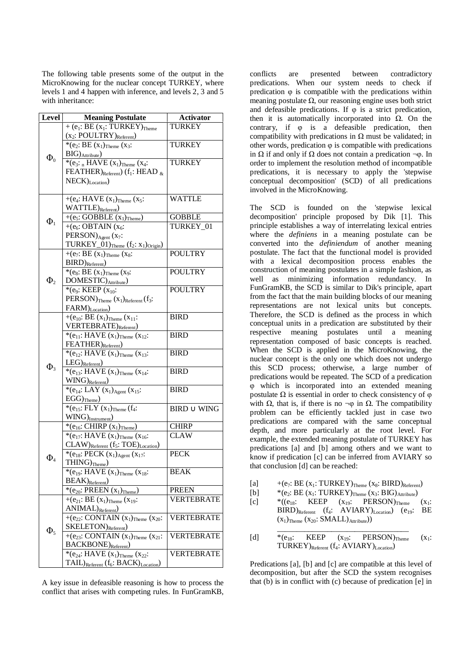The following table presents some of the output in the MicroKnowing for the nuclear concept TURKEY, where levels 1 and 4 happen with inference, and levels 2, 3 and 5 with inheritance:

| Level      | <b>Meaning Postulate</b>                                                                    | <b>Activator</b>               |
|------------|---------------------------------------------------------------------------------------------|--------------------------------|
| $\Phi_0$   | $\overline{+$ (e <sub>1</sub> : BE (x <sub>1</sub> : TURKEY) <sub>Theme</sub>               | <b>TURKEY</b>                  |
|            | $(x_2: \text{POLITRY})_{\text{Referent}}$                                                   |                                |
|            | *(e <sub>2</sub> : BE $(x_1)$ <sub>Theme</sub> $(x_3)$ :                                    | <b>TURKEY</b>                  |
|            | $\rm{BIG})_{\rm{Attribute}}$                                                                |                                |
|            | *( $e_3$ : n HAVE $(x_1)$ <sub>Theme</sub> $(x_4)$ :                                        | <b>TURKEY</b>                  |
|            | FEATHER) $_{\text{Referent}}$ (f <sub>1</sub> : HEAD $_{\&}$                                |                                |
|            | NECK) <sub>Location</sub> )                                                                 |                                |
|            | $+(e_4:HAVE(x_1)_{Theme}(x_5:$                                                              | <b>WATTLE</b>                  |
| $\Phi_1$   | WATTLE) <sub>Referent</sub> )                                                               |                                |
|            | $+(e_5: GOBBLE (x_1)_{Theme})$                                                              | <b>GOBBLE</b>                  |
|            | $+(e_6: \text{OBTAIN} (x_6))$                                                               | TURKEY 01                      |
|            | PERSON) $_{Agent}$ (x <sub>7</sub> :                                                        |                                |
|            | TURKEY_01) $_{\text{Theme}}$ ( $f_2$ : $x_1$ ) $_{\text{Original}}$ )                       |                                |
|            | $\overline{+(e_7:BE(x_1))_{\text{Theme}}}(x_8)$ :                                           | <b>POULTRY</b>                 |
|            | $BIRD)$ <sub>Referent</sub> )                                                               |                                |
| $\Phi_{2}$ | $\overline{\ast}$ (e <sub>8</sub> : BE (x <sub>1</sub> ) <sub>Theme</sub> (x <sub>9</sub> : | <b>POULTRY</b>                 |
|            | DOMESTIC) Attribute)                                                                        |                                |
|            | *(e <sub>9</sub> : KEEP $(x_{10})$ :                                                        | <b>POULTRY</b>                 |
|            | $PERSON)$ Theme $(x_1)$ Referent $(f_3$ :                                                   |                                |
|            | FARM) <sub>Location</sub> )                                                                 |                                |
|            | +( $e_{10}$ : BE $(x_1)$ <sub>Theme</sub> $(x_{11})$ :                                      | <b>BIRD</b>                    |
|            | VERTEBRATE) <sub>Referent</sub> )<br>$*(e_{11}:$ HAVE $(x_1)$ <sub>Theme</sub> $(x_{12}:$   | <b>BIRD</b>                    |
|            | FEATHER) <sub>Referent</sub> )                                                              |                                |
|            | *( $e_{12}$ : HAVE $(x_1)$ <sub>Theme</sub> $(x_{13})$ :                                    | <b>BIRD</b>                    |
| $\Phi_3$   | $LEG)$ <sub>Referent</sub> )                                                                |                                |
|            | *( $e_{13}$ : HAVE $(x_1)$ <sub>Theme</sub> $(x_{14})$ :                                    | <b>BIRD</b>                    |
|            | WING) <sub>Referent</sub> )                                                                 |                                |
|            | *(e <sub>14</sub> : LAY $(x_1)_{Agent}$ $(x_15)$ :                                          | <b>BIRD</b>                    |
|            | $EGG)_{\underline{\text{Theme}}}}$                                                          |                                |
|            | * $(e_{15}: FLY (x_1)_{Theme} (f_4):$                                                       | $\text{BIRD} \cup \text{WING}$ |
|            | $WING)$ Instrument)                                                                         |                                |
| $\Phi_4$   | *( $e_{16}$ : CHIRP $(x_1)$ <sub>Theme</sub> )                                              | <b>CHIRP</b>                   |
|            | *( $e_{17}$ : HAVE $(x_1)$ <sub>Theme</sub> $(x_{16})$ :                                    | <b>CLAW</b>                    |
|            | CLAW) Referent (f5: TOE) Location)                                                          |                                |
|            | *( $e_{18}$ : PECK $(x_1)_{Agent}$ $(x_17)$ :                                               | <b>PECK</b>                    |
|            | $THING)_{\text{Theme}}$                                                                     |                                |
|            | *(e <sub>19</sub> : HAVE $(x_1)$ <sub>Theme</sub> $(x_{18})$ :                              | BEAK                           |
|            | $BEAK)$ <sub>Referent</sub> )                                                               | <b>PREEN</b>                   |
|            | *( $e_{20}$ : PREEN $(x_1)$ <sub>Theme</sub> )                                              | VERTEBRATE                     |
| $\Phi_5$   | +( $e_{21}$ : BE $(x_1)$ <sub>Theme</sub> $(x_{19})$ :<br>$ANIMAL)$ <sub>Referent</sub> )   |                                |
|            | +( $e_{22}$ : CONTAIN $(x_1)$ <sub>Theme</sub> $(x_{20})$ :                                 | <b>VERTEBRATE</b>              |
|            | SKELETON)Referent)                                                                          |                                |
|            | $\overline{+(e_{23}: \text{CONTAIN} (x_1)_{\text{Theme}} (x_{21})}$                         | <b>VERTEBRATE</b>              |
|            | <b>BACKBONE</b> ) <sub>Referent</sub> )                                                     |                                |
|            | *(e <sub>24</sub> : HAVE $(x_1)$ <sub>Theme</sub> $(x_2)$ :                                 | <b>VERTEBRATE</b>              |
|            | $\text{TAIL}$ ) <sub>Referent</sub> ( $f_6$ : BACK) <sub>Location</sub> )                   |                                |

A key issue in defeasible reasoning is how to process the conflict that arises with competing rules. In FunGramKB,

conflicts are presented between contradictory predications. When our system needs to check if predication  $\varphi$  is compatible with the predications within meaning postulate  $\Omega$ , our reasoning engine uses both strict and defeasible predications. If  $\varphi$  is a strict predication, then it is automatically incorporated into  $\Omega$ . On the contrary, if φ is a defeasible predication, then compatibility with predications in  $\Omega$  must be validated; in other words, predication  $\varphi$  is compatible with predications in  $\Omega$  if and only if  $\Omega$  does not contain a predication  $\neg \varphi$ . In order to implement the resolution method of incompatible predications, it is necessary to apply the 'stepwise conceptual decomposition' (SCD) of all predications involved in the MicroKnowing.

The SCD is founded on the 'stepwise lexical decomposition' principle proposed by Dik [1]. This principle establishes a way of interrelating lexical entries where the *definiens* in a meaning postulate can be converted into the *definiendum* of another meaning postulate. The fact that the functional model is provided with a lexical decomposition process enables the construction of meaning postulates in a simple fashion, as well as minimizing information redundancy. In FunGramKB, the SCD is similar to Dik's principle, apart from the fact that the main building blocks of our meaning representations are not lexical units but concepts. Therefore, the SCD is defined as the process in which conceptual units in a predication are substituted by their respective meaning postulates until a meaning representation composed of basic concepts is reached. When the SCD is applied in the MicroKnowing, the nuclear concept is the only one which does not undergo this SCD process; otherwise, a large number of predications would be repeated. The SCD of a predication φ which is incorporated into an extended meaning postulate  $\Omega$  is essential in order to check consistency of  $\varphi$ with Ω, that is, if there is no  $\neg$ φ in Ω. The compatibility problem can be efficiently tackled just in case two predications are compared with the same conceptual depth, and more particularly at the root level. For example, the extended meaning postulate of TURKEY has predications [a] and [b] among others and we want to know if predication [c] can be inferred from AVIARY so that conclusion [d] can be reached:

- [a]  $+(e_7: BE (x_1: TURKEY)_{Theme} (x_8: BIRD)_{Referen})$
- [b]  $*(e_2: BE(x_1: TURKEY)_{Theme}(x_3: BIG)_{Attribute})$
- $[c]$  \*(( $e_{18}$ : KEEP ( $x_{19}$ : PERSON)<sub>Theme</sub> ( $x_1$ :  $BIRD)_{Referent}$  (f<sub>4</sub>: AVIARY)<sub>Location</sub>) (e<sub>19</sub>: BE  $(x_1)$ <sub>Theme</sub>  $(x_{20}$ : **SMALL**)<sub>Attribute</sub> $))$
- \_\_\_\_\_\_\_\_\_\_\_\_\_\_\_\_\_\_\_\_\_\_\_\_\_\_\_\_\_\_\_\_\_\_ [d]  $*(e_{18}: \text{KEEP} \text{ (x}_{19}: \text{PERSON})_{\text{Theme}} \text{ (x}_{1}: \text{FERSON})_{\text{Theme}})$  $TURKEY)_{Referent}$  ( $f_4$ : AVIARY)<sub>Location</sub>)

Predications [a], [b] and [c] are compatible at this level of decomposition, but after the SCD the system recognises that (b) is in conflict with (c) because of predication [e] in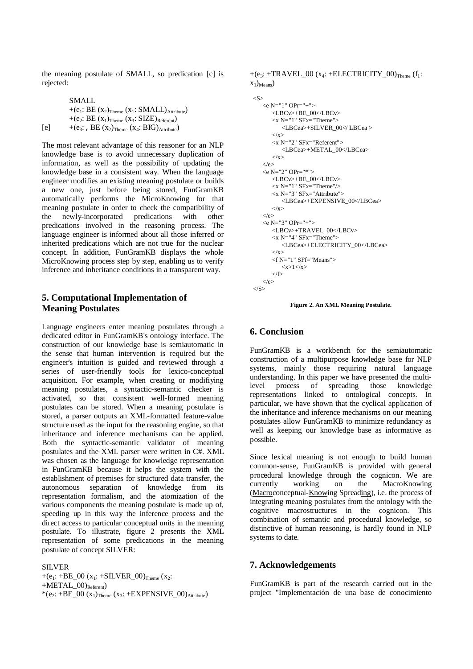the meaning postulate of SMALL, so predication [c] is rejected:

|     | SMALL                                                                                       |  |
|-----|---------------------------------------------------------------------------------------------|--|
|     | +( $e_1$ : BE $(x_2)$ <sub>Theme</sub> $(x_1$ : SMALL) <sub>Attribute</sub> )               |  |
|     | +(e <sub>2</sub> : BE $(x_1)$ <sub>Theme</sub> $(x_3: SIZE)$ <sub>Referent</sub> )          |  |
| [e] | +( $e_3$ : <sub>n</sub> BE ( $x_2$ ) <sub>Theme</sub> ( $x_4$ : BIG) <sub>Attribute</sub> ) |  |

The most relevant advantage of this reasoner for an NLP knowledge base is to avoid unnecessary duplication of information, as well as the possibility of updating the knowledge base in a consistent way. When the language engineer modifies an existing meaning postulate or builds a new one, just before being stored, FunGramKB automatically performs the MicroKnowing for that meaning postulate in order to check the compatibility of the newly-incorporated predications with other predications involved in the reasoning process. The language engineer is informed about all those inferred or inherited predications which are not true for the nuclear concept. In addition, FunGramKB displays the whole MicroKnowing process step by step, enabling us to verify inference and inheritance conditions in a transparent way.

# **5. Computational Implementation of Meaning Postulates**

Language engineers enter meaning postulates through a dedicated editor in FunGramKB's ontology interface. The construction of our knowledge base is semiautomatic in the sense that human intervention is required but the engineer's intuition is guided and reviewed through a series of user-friendly tools for lexico-conceptual acquisition. For example, when creating or modifiying meaning postulates, a syntactic-semantic checker is activated, so that consistent well-formed meaning postulates can be stored. When a meaning postulate is stored, a parser outputs an XML-formatted feature-value structure used as the input for the reasoning engine, so that inheritance and inference mechanisms can be applied. Both the syntactic-semantic validator of meaning postulates and the XML parser were written in C#. XML was chosen as the language for knowledge representation in FunGramKB because it helps the system with the establishment of premises for structured data transfer, the autonomous separation of knowledge from its representation formalism, and the atomization of the various components the meaning postulate is made up of, speeding up in this way the inference process and the direct access to particular conceptual units in the meaning postulate. To illustrate, figure 2 presents the XML representation of some predications in the meaning postulate of concept SILVER:

#### SILVER

+(e<sub>1</sub>: +BE\_00 (x<sub>1</sub>: +SILVER\_00)<sub>Theme</sub> (x<sub>2</sub>:  $+METAL_00)_{Referent})$  $*(e_2: +BE_00 (x_1)_{\text{Theme}} (x_3: +EXPENSIVE_00)_{\text{Attribute}})$  +(e<sub>3</sub>: +TRAVEL 00 ( $x_4$ : +ELECTRICITY 00)<sub>Theme</sub> (f<sub>1</sub>:  $x_1)$ <sub>Means</sub> $)$ 

```
<S> 
    \langle e N = "1" OPT = "+" <LBCv>+BE_00</LBCv> 
        \langle x N="1" SFx="Theme">
            <LBCea>+SILVER_00</ LBCea > 
        \langle x \rangle <x N="2" SFx="Referent"> 
            <LBCea>+METAL_00</LBCea> 
        \langle x \rangle\langle e \rangle<e N="2" OPr="*"> 
         <LBCv>+BE_00</LBCv> 
        \langle x \rangleN="1" SF\overline{x}="Theme"/>
         <x N="3" SFx="Attribute"> 
             <LBCea>+EXPENSIVE_00</LBCea> 
        \langle x \rangle\langle e \rangle<e N="3" OPr="+"> 
         <LBCv>+TRAVEL_00</LBCv> 
        \langle x \rangleN="4" SFx="Theme">
             <LBCea>+ELECTRICITY_00</LBCea> 
        \langle x \rangle\leq f N="1" SFf="Means">
            <x>1 </x>
        \langle f \rangle\langlee>
\langle/S>
```
**Figure 2. An XML Meaning Postulate.**

# **6. Conclusion**

FunGramKB is a workbench for the semiautomatic construction of a multipurpose knowledge base for NLP systems, mainly those requiring natural language understanding. In this paper we have presented the multilevel process of spreading those knowledge representations linked to ontological concepts. In particular, we have shown that the cyclical application of the inheritance and inference mechanisms on our meaning postulates allow FunGramKB to minimize redundancy as well as keeping our knowledge base as informative as possible.

Since lexical meaning is not enough to build human common-sense, FunGramKB is provided with general procedural knowledge through the cognicon. We are currently working on the MacroKnowing (Macroconceptual-Knowing Spreading), i.e. the process of integrating meaning postulates from the ontology with the cognitive macrostructures in the cognicon. This combination of semantic and procedural knowledge, so distinctive of human reasoning, is hardly found in NLP systems to date.

# **7. Acknowledgements**

FunGramKB is part of the research carried out in the project "Implementación de una base de conocimiento